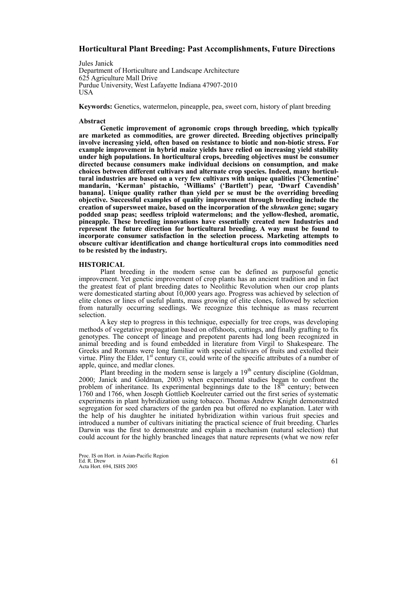## **Horticultural Plant Breeding: Past Accomplishments, Future Directions**

Jules Janick Department of Horticulture and Landscape Architecture 625 Agriculture Mall Drive Purdue University, West Lafayette Indiana 47907-2010 USA

**Keywords:** Genetics, watermelon, pineapple, pea, sweet corn, history of plant breeding

#### **Abstract**

**Genetic improvement of agronomic crops through breeding, which typically are marketed as commodities, are grower directed. Breeding objectives principally involve increasing yield, often based on resistance to biotic and non-biotic stress. For example improvement in hybrid maize yields have relied on increasing yield stability under high populations. In horticultural crops, breeding objectives must be consumer directed because consumers make individual decisions on consumption, and make choices between different cultivars and alternate crop species. Indeed, many horticultural industries are based on a very few cultivars with unique qualities ['Clementine' mandarin, 'Kerman' pistachio, 'Williams' ('Bartlett') pear, 'Dwarf Cavendish' banana]. Unique quality rather than yield per se must be the overriding breeding objective. Successful examples of quality improvement through breeding include the creation of supersweet maize, based on the incorporation of the** *shrunken* **gene; sugary podded snap peas; seedless triploid watermelons; and the yellow-fleshed, aromatic, pineapple. These breeding innovations have essentially created new Industries and represent the future direction for horticultural breeding. A way must be found to incorporate consumer satisfaction in the selection process. Marketing attempts to obscure cultivar identification and change horticultural crops into commodities need to be resisted by the industry.** 

### **HISTORICAL**

Plant breeding in the modern sense can be defined as purposeful genetic improvement. Yet genetic improvement of crop plants has an ancient tradition and in fact the greatest feat of plant breeding dates to Neolithic Revolution when our crop plants were domesticated starting about 10,000 years ago. Progress was achieved by selection of elite clones or lines of useful plants, mass growing of elite clones, followed by selection from naturally occurring seedlings. We recognize this technique as mass recurrent selection.

A key step to progress in this technique, especially for tree crops, was developing methods of vegetative propagation based on offshoots, cuttings, and finally grafting to fix genotypes. The concept of lineage and prepotent parents had long been recognized in animal breeding and is found embedded in literature from Virgil to Shakespeare. The Greeks and Romans were long familiar with special cultivars of fruits and extolled their virtue. Pliny the Elder,  $1<sup>st</sup>$  century CE, could write of the specific attributes of a number of apple, quince, and medlar clones.

Plant breeding in the modern sense is largely a  $19<sup>th</sup>$  century discipline (Goldman, 2000; Janick and Goldman, 2003) when experimental studies began to confront the problem of inheritance. Its experimental beginnings date to the  $18<sup>th</sup>$  century; between 1760 and 1766, when Joseph Gottlieb Koelreuter carried out the first series of systematic experiments in plant hybridization using tobacco. Thomas Andrew Knight demonstrated segregation for seed characters of the garden pea but offered no explanation. Later with the help of his daughter he initiated hybridization within various fruit species and introduced a number of cultivars initiating the practical science of fruit breeding. Charles Darwin was the first to demonstrate and explain a mechanism (natural selection) that could account for the highly branched lineages that nature represents (what we now refer

Proc. IS on Hort. in Asian-Pacific Region Ed. R. Drew Acta Hort. 694, ISHS 2005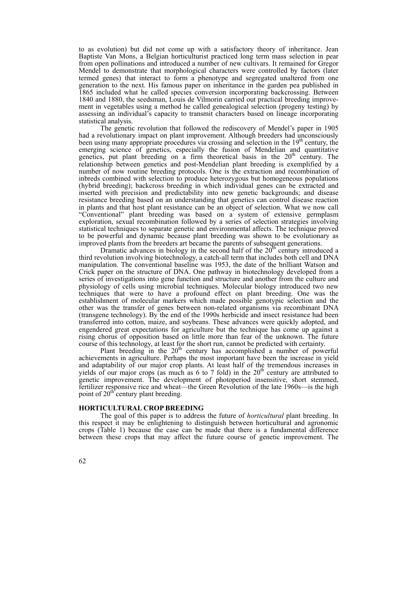to as evolution) but did not come up with a satisfactory theory of inheritance. Jean Baptiste Van Mons, a Belgian horticulturist practiced long term mass selection in pear from open pollinations and introduced a number of new cultivars. It remained for Gregor Mendel to demonstrate that morphological characters were controlled by factors (later termed genes) that interact to form a phenotype and segregated unaltered from one generation to the next. His famous paper on inheritance in the garden pea published in 1865 included what he called species conversion incorporating backcrossing. Between 1840 and 1880, the seedsman, Louis de Vilmorin carried out practical breeding improvement in vegetables using a method he called genealogical selection (progeny testing) by assessing an individual's capacity to transmit characters based on lineage incorporating statistical analysis.

The genetic revolution that followed the rediscovery of Mendel's paper in 1905 had a revolutionary impact on plant improvement. Although breeders had unconsciously been using many appropriate procedures via crossing and selection in the 19<sup>th</sup> century, the emerging science of genetics, especially the fusion of Mendelian and quantitative genetics, put plant breeding on a firm theoretical basis in the 20<sup>th</sup> century. The relationship between genetics and post-Mendelian plant breeding is exemplified by a number of now routine breeding protocols. One is the extraction and recombination of inbreds combined with selection to produce heterozygous but homogeneous populations (hybrid breeding); backcross breeding in which individual genes can be extracted and inserted with precision and predictability into new genetic backgrounds; and disease resistance breeding based on an understanding that genetics can control disease reaction in plants and that host plant resistance can be an object of selection. What we now call "Conventional" plant breeding was based on a system of extensive germplasm exploration, sexual recombination followed by a series of selection strategies involving statistical techniques to separate genetic and environmental affects. The technique proved to be powerful and dynamic because plant breeding was shown to be evolutionary as improved plants from the breeders art became the parents of subsequent generations.

Dramatic advances in biology in the second half of the  $20<sup>th</sup>$  century introduced a third revolution involving biotechnology, a catch-all term that includes both cell and DNA manipulation. The conventional baseline was 1953, the date of the brilliant Watson and Crick paper on the structure of DNA. One pathway in biotechnology developed from a series of investigations into gene function and structure and another from the culture and physiology of cells using microbial techniques. Molecular biology introduced two new techniques that were to have a profound effect on plant breeding. One was the establishment of molecular markers which made possible genotypic selection and the other was the transfer of genes between non-related organisms via recombinant DNA (transgene technology). By the end of the 1990s herbicide and insect resistance had been transferred into cotton, maize, and soybeans. These advances were quickly adopted, and engendered great expectations for agriculture but the technique has come up against a rising chorus of opposition based on little more than fear of the unknown. The future course of this technology, at least for the short run, cannot be predicted with certainty.

Plant breeding in the  $20<sup>th</sup>$  century has accomplished a number of powerful achievements in agriculture. Perhaps the most important have been the increase in yield and adaptability of our major crop plants. At least half of the tremendous increases in yields of our major crops (as much as 6 to 7 fold) in the  $20<sup>th</sup>$  century are attributed to genetic improvement. The development of photoperiod insensitive, short stemmed, fertilizer responsive rice and wheat—the Green Revolution of the late 1960s—is the high point of  $20<sup>th</sup>$  century plant breeding.

#### **HORTICULTURAL CROP BREEDING**

The goal of this paper is to address the future of *horticultural* plant breeding. In this respect it may be enlightening to distinguish between horticultural and agronomic crops (Table 1) because the case can be made that there is a fundamental difference between these crops that may affect the future course of genetic improvement. The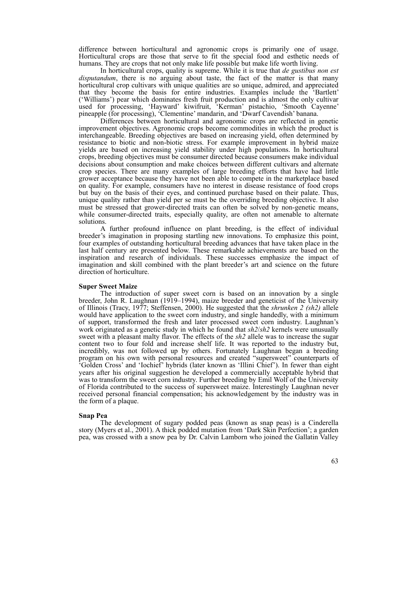difference between horticultural and agronomic crops is primarily one of usage. Horticultural crops are those that serve to fit the special food and esthetic needs of humans. They are crops that not only make life possible but make life worth living.

In horticultural crops, quality is supreme. While it is true that *de gustibus non est*  disputandum, there is no arguing about taste, the fact of the matter is that many horticultural crop cultivars with unique qualities are so unique, admired, and appreciated that they become the basis for entire industries. Examples include the 'Bartlett' ('Williams') pear which dominates fresh fruit production and is almost the only cultivar used for processing, 'Hayward' kiwifruit, 'Kerman' pistachio, 'Smooth Cayenne' pineapple (for processing), 'Clementine' mandarin, and 'Dwarf Cavendish' banana.

Differences between horticultural and agronomic crops are reflected in genetic improvement objectives. Agronomic crops become commodities in which the product is interchangeable. Breeding objectives are based on increasing yield, often determined by resistance to biotic and non-biotic stress. For example improvement in hybrid maize yields are based on increasing yield stability under high populations. In horticultural crops, breeding objectives must be consumer directed because consumers make individual decisions about consumption and make choices between different cultivars and alternate crop species. There are many examples of large breeding efforts that have had little grower acceptance because they have not been able to compete in the marketplace based on quality. For example, consumers have no interest in disease resistance of food crops but buy on the basis of their eyes, and continued purchase based on their palate. Thus, unique quality rather than yield per se must be the overriding breeding objective. It also must be stressed that grower-directed traits can often be solved by non-genetic means, while consumer-directed traits, especially quality, are often not amenable to alternate solutions.

A further profound influence on plant breeding, is the effect of individual breeder's imagination in proposing startling new innovations. To emphasize this point, four examples of outstanding horticultural breeding advances that have taken place in the last half century are presented below. These remarkable achievements are based on the inspiration and research of individuals. These successes emphasize the impact of imagination and skill combined with the plant breeder's art and science on the future direction of horticulture.

#### **Super Sweet Maize**

The introduction of super sweet corn is based on an innovation by a single breeder, John R. Laughnan (1919–1994), maize breeder and geneticist of the University of Illinois (Tracy, 1977; Steffensen, 2000). He suggested that the *shrunken 2 (sh2)* allele would have application to the sweet corn industry, and single handedly, with a minimum of support, transformed the fresh and later processed sweet corn industry. Laughnan's work originated as a genetic study in which he found that *sh2*/*sh2* kernels were unusually sweet with a pleasant malty flavor. The effects of the *sh2* allele was to increase the sugar content two to four fold and increase shelf life. It was reported to the industry but, incredibly, was not followed up by others. Fortunately Laughnan began a breeding program on his own with personal resources and created "supersweet" counterparts of 'Golden Cross' and 'Iochief' hybrids (later known as 'Illini Chief'). In fewer than eight years after his original suggestion he developed a commercially acceptable hybrid that was to transform the sweet corn industry. Further breeding by Emil Wolf of the University of Florida contributed to the success of supersweet maize. Interestingly Laughnan never received personal financial compensation; his acknowledgement by the industry was in the form of a plaque.

#### **Snap Pea**

The development of sugary podded peas (known as snap peas) is a Cinderella story (Myers et al., 2001). A thick podded mutation from 'Dark Skin Perfection'; a garden pea, was crossed with a snow pea by Dr. Calvin Lamborn who joined the Gallatin Valley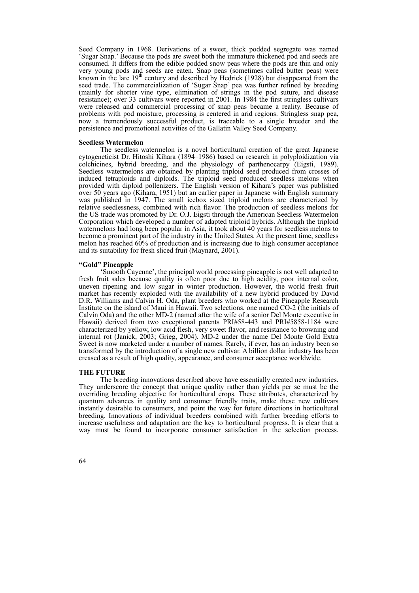Seed Company in 1968. Derivations of a sweet, thick podded segregate was named 'Sugar Snap.' Because the pods are sweet both the immature thickened pod and seeds are consumed. It differs from the edible podded snow peas where the pods are thin and only very young pods and seeds are eaten. Snap peas (sometimes called butter peas) were known in the late  $19<sup>th</sup>$  century and described by Hedrick (1928) but disappeared from the seed trade. The commercialization of 'Sugar Snap' pea was further refined by breeding (mainly for shorter vine type, elimination of strings in the pod suture, and disease resistance); over 33 cultivars were reported in 2001. In 1984 the first stringless cultivars were released and commercial processing of snap peas became a reality. Because of problems with pod moisture, processing is centered in arid regions. Stringless snap pea, now a tremendously successful product, is traceable to a single breeder and the persistence and promotional activities of the Gallatin Valley Seed Company.

#### **Seedless Watermelon**

The seedless watermelon is a novel horticultural creation of the great Japanese cytogeneticist Dr. Hitoshi Kihara (1894–1986) based on research in polyploidization via colchicines, hybrid breeding, and the physiology of parthenocarpy (Eigsti, 1989). Seedless watermelons are obtained by planting triploid seed produced from crosses of induced tetraploids and diploids. The triploid seed produced seedless melons when provided with diploid pollenizers. The English version of Kihara's paper was published over 50 years ago (Kihara, 1951) but an earlier paper in Japanese with English summary was published in 1947. The small icebox sized triploid melons are characterized by relative seedlessness, combined with rich flavor. The production of seedless melons for the US trade was promoted by Dr. O.J. Eigsti through the American Seedless Watermelon Corporation which developed a number of adapted triploid hybrids. Although the triploid watermelons had long been popular in Asia, it took about 40 years for seedless melons to become a prominent part of the industry in the United States. At the present time, seedless melon has reached 60% of production and is increasing due to high consumer acceptance and its suitability for fresh sliced fruit (Maynard, 2001).

#### **"Gold" Pineapple**

'Smooth Cayenne', the principal world processing pineapple is not well adapted to fresh fruit sales because quality is often poor due to high acidity, poor internal color, uneven ripening and low sugar in winter production. However, the world fresh fruit market has recently exploded with the availability of a new hybrid produced by David D.R. Williams and Calvin H. Oda, plant breeders who worked at the Pineapple Research Institute on the island of Maui in Hawaii. Two selections, one named CO-2 (the initials of Calvin Oda) and the other MD-2 (named after the wife of a senior Del Monte executive in Hawaii) derived from two exceptional parents PRI#58-443 and PRI#5858-1184 were characterized by yellow, low acid flesh, very sweet flavor, and resistance to browning and internal rot (Janick, 2003; Grieg, 2004). MD-2 under the name Del Monte Gold Extra Sweet is now marketed under a number of names. Rarely, if ever, has an industry been so transformed by the introduction of a single new cultivar. A billion dollar industry has been creased as a result of high quality, appearance, and consumer acceptance worldwide.

#### **THE FUTURE**

The breeding innovations described above have essentially created new industries. They underscore the concept that unique quality rather than yields per se must be the overriding breeding objective for horticultural crops. These attributes, characterized by quantum advances in quality and consumer friendly traits, make these new cultivars instantly desirable to consumers, and point the way for future directions in horticultural breeding. Innovations of individual breeders combined with further breeding efforts to increase usefulness and adaptation are the key to horticultural progress. It is clear that a way must be found to incorporate consumer satisfaction in the selection process.